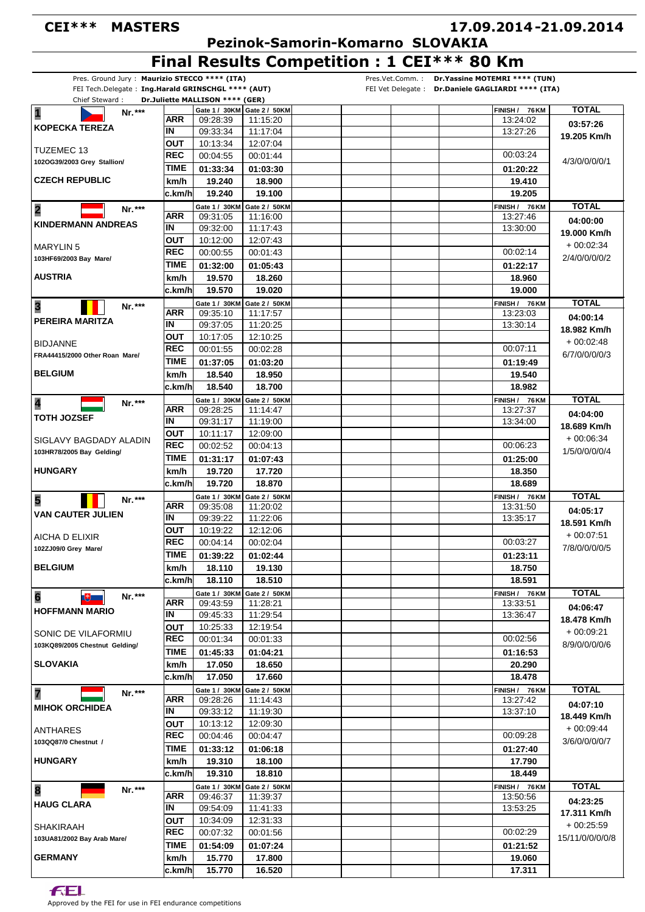### **CEI\*\*\* MASTERS**

# **17.09.2014 21.09.2014 -**

 **Pezinok-Samorin-Komarno SLOVAKIA**

**Final Results Competition : 1 CEI\*\*\* 80 Km**

| Pres. Ground Jury: Maurizio STECCO **** (ITA)      |             |                                 |                               | Dr. Yassine MOTEMRI **** (TUN)<br>Pres.Vet.Comm.:  |                 |
|----------------------------------------------------|-------------|---------------------------------|-------------------------------|----------------------------------------------------|-----------------|
| FEI Tech.Delegate: Ing.Harald GRINSCHGL **** (AUT) |             |                                 |                               | FEI Vet Delegate : Dr.Daniele GAGLIARDI **** (ITA) |                 |
| Chief Steward:                                     |             | Dr.Juliette MALLISON **** (GER) |                               |                                                    |                 |
| $\overline{\mathbf{1}}$<br>Nr.***                  | ARR         |                                 | Gate 1 / 30KM   Gate 2 / 50KM | FINISH / 76 KM                                     | <b>TOTAL</b>    |
| <b>KOPECKA TEREZA</b>                              | ΙN          | 09:28:39<br>09:33:34            | 11:15:20<br>11:17:04          | 13:24:02<br>13:27:26                               | 03:57:26        |
|                                                    | ουτ         | 10:13:34                        | 12:07:04                      |                                                    | 19.205 Km/h     |
| <b>TUZEMEC 13</b>                                  | REC         | 00:04:55                        |                               | 00:03:24                                           |                 |
| 102OG39/2003 Grey Stallion/                        |             |                                 | 00:01:44                      |                                                    | 4/3/0/0/0/0/1   |
|                                                    | TIME        | 01:33:34                        | 01:03:30                      | 01:20:22                                           |                 |
| <b>CZECH REPUBLIC</b>                              | km/h        | 19.240                          | 18.900                        | 19.410                                             |                 |
|                                                    | c.km/h      | 19.240                          | 19.100                        | 19.205                                             |                 |
| $\overline{\mathbf{2}}$<br>$Nr.***$                |             | Gate 1 / 30KM                   | Gate 2 / 50KM                 | FINISH / 76 KM                                     | <b>TOTAL</b>    |
| <b>KINDERMANN ANDREAS</b>                          | ARR         | 09:31:05                        | 11:16:00                      | 13:27:46                                           | 04:00:00        |
|                                                    | IN          | 09:32:00                        | 11:17:43                      | 13:30:00                                           | 19.000 Km/h     |
| <b>MARYLIN 5</b>                                   | OUT         | 10:12:00                        | 12:07:43                      |                                                    | $+00:02:34$     |
| 103HF69/2003 Bay Mare/                             | <b>REC</b>  | 00:00:55                        | 00:01:43                      | 00:02:14                                           | 2/4/0/0/0/0/2   |
|                                                    | TIME        | 01:32:00                        | 01:05:43                      | 01:22:17                                           |                 |
| <b>AUSTRIA</b>                                     | km/h        | 19.570                          | 18.260                        | 18.960                                             |                 |
|                                                    | c.km/h      | 19.570                          | 19.020                        | 19.000                                             |                 |
| $\overline{\mathbf{3}}$<br>Nr.***                  |             | Gate 1 / 30KM                   | Gate 2 / 50KM                 | FINISH / 76 KM                                     | <b>TOTAL</b>    |
|                                                    | ARR         | 09:35:10                        | 11:17:57                      | 13:23:03                                           | 04:00:14        |
| PEREIRA MARITZA                                    | ΙN          | 09:37:05                        | 11:20:25                      | 13:30:14                                           | 18.982 Km/h     |
|                                                    | ΟUΤ         | 10:17:05                        | 12:10:25                      |                                                    |                 |
| <b>BIDJANNE</b>                                    | <b>REC</b>  | 00:01:55                        | 00:02:28                      | 00:07:11                                           | $+00:02:48$     |
| FRA44415/2000 Other Roan Mare/                     | <b>TIME</b> | 01:37:05                        | 01:03:20                      | 01:19:49                                           | 6/7/0/0/0/0/3   |
| <b>BELGIUM</b>                                     | km/h        | 18.540                          | 18.950                        | 19.540                                             |                 |
|                                                    | c.km/h      | 18.540                          | 18.700                        | 18.982                                             |                 |
|                                                    |             |                                 |                               |                                                    | <b>TOTAL</b>    |
| 4<br>Nr.***                                        | ARR         | Gate 1 / 30KM<br>09:28:25       | Gate 2 / 50KM<br>11:14:47     | FINISH / 76 KM<br>13:27:37                         |                 |
| <b>TOTH JOZSEF</b>                                 | ΙN          | 09:31:17                        | 11:19:00                      | 13:34:00                                           | 04:04:00        |
|                                                    | <b>OUT</b>  | 10:11:17                        | 12:09:00                      |                                                    | 18.689 Km/h     |
| SIGLAVY BAGDADY ALADIN                             | <b>REC</b>  | 00:02:52                        |                               | 00:06:23                                           | $+00:06:34$     |
| 103HR78/2005 Bay Gelding/                          | <b>TIME</b> |                                 | 00:04:13                      |                                                    | 1/5/0/0/0/0/4   |
|                                                    |             | 01:31:17                        | 01:07:43                      | 01:25:00                                           |                 |
| <b>HUNGARY</b>                                     | km/h        | 19.720                          | 17.720                        | 18.350                                             |                 |
|                                                    | c.km/h      | 19.720                          | 18.870                        | 18.689                                             |                 |
| 5<br>Nr.***                                        |             | Gate 1 / 30KM                   | Gate 2 / 50KM                 | FINISH / 76 KM                                     | <b>TOTAL</b>    |
| <b>VAN CAUTER JULIEN</b>                           | ARR         | 09:35:08                        | 11:20:02                      | 13:31:50                                           | 04:05:17        |
|                                                    | ΙN          | 09:39:22                        | 11:22:06                      | 13:35:17                                           | 18.591 Km/h     |
| AICHA D ELIXIR                                     | OUT         | 10:19:22                        | 12:12:06                      |                                                    | $+00:07:51$     |
| 102ZJ09/0 Grey Mare/                               | <b>REC</b>  | 00:04:14                        | 00:02:04                      | 00:03:27                                           | 7/8/0/0/0/0/5   |
|                                                    | <b>TIME</b> | 01:39:22                        | 01:02:44                      | 01:23:11                                           |                 |
| <b>BELGIUM</b>                                     | km/h        | 18.110                          | 19.130                        | 18.750                                             |                 |
|                                                    | c.km/h      | 18.110                          | 18.510                        | 18.591                                             |                 |
| $6\phantom{a}$<br>Nr.***<br>$\mathbb{R}$           |             | Gate 1 / 30KM                   | Gate 2 / 50KM                 | FINISH / 76 KM                                     | <b>TOTAL</b>    |
| <b>HOFFMANN MARIO</b>                              | ARR         | 09:43:59                        | 11:28:21                      | 13:33:51                                           | 04:06:47        |
|                                                    | IN          | 09:45:33                        | 11:29:54                      | 13:36:47                                           | 18.478 Km/h     |
| SONIC DE VILAFORMIU                                | OUT         | 10:25:33                        | 12:19:54                      |                                                    | $+00.09:21$     |
| 103KQ89/2005 Chestnut Gelding/                     | <b>REC</b>  | 00:01:34                        | 00:01:33                      | 00:02:56                                           | 8/9/0/0/0/0/6   |
|                                                    | TIME        | 01:45:33                        | 01:04:21                      | 01:16:53                                           |                 |
| <b>SLOVAKIA</b>                                    | km/h        | 17.050                          | 18.650                        | 20.290                                             |                 |
|                                                    | c.km/h      | 17.050                          | 17.660                        | 18.478                                             |                 |
| 7<br>Nr.***                                        |             | Gate 1 / 30KM                   | Gate 2 / 50KM                 | FINISH / 76 KM                                     | <b>TOTAL</b>    |
|                                                    | ARR         | 09:28:26                        | 11:14:43                      | 13:27:42                                           | 04:07:10        |
| <b>MIHOK ORCHIDEA</b>                              | IN          | 09:33:12                        | 11:19:30                      | 13:37:10                                           |                 |
|                                                    | OUT         | 10:13:12                        | 12:09:30                      |                                                    | 18.449 Km/h     |
| ANTHARES                                           | <b>REC</b>  | 00:04:46                        | 00:04:47                      | 00:09:28                                           | $+00:09:44$     |
| 103QQ87/0 Chestnut /                               | <b>TIME</b> | 01:33:12                        | 01:06:18                      | 01:27:40                                           | 3/6/0/0/0/0/7   |
| <b>HUNGARY</b>                                     | km/h        | 19.310                          | 18.100                        | 17.790                                             |                 |
|                                                    | c.km/h      | 19.310                          | 18.810                        | 18.449                                             |                 |
|                                                    |             |                                 |                               |                                                    |                 |
| 8<br>Nr.***                                        | ARR         | Gate 1 / 30KM<br>09:46:37       | Gate 2 / 50KM<br>11:39:37     | FINISH / 76 KM<br>13:50:56                         | <b>TOTAL</b>    |
| <b>HAUG CLARA</b>                                  | ΙN          | 09:54:09                        | 11:41:33                      | 13:53:25                                           | 04:23:25        |
|                                                    | ΟUΤ         | 10:34:09                        | 12:31:33                      |                                                    | 17.311 Km/h     |
| <b>SHAKIRAAH</b>                                   | <b>REC</b>  |                                 |                               | 00:02:29                                           | $+00:25:59$     |
| 103UA81/2002 Bay Arab Mare/                        |             | 00:07:32                        | 00:01:56                      |                                                    | 15/11/0/0/0/0/8 |
|                                                    | <b>TIME</b> | 01:54:09                        | 01:07:24                      | 01:21:52                                           |                 |
| <b>GERMANY</b>                                     | km/h        | 15.770                          | 17.800                        | 19.060                                             |                 |
|                                                    | c.km/h      | 15.770                          | 16.520                        | 17.311                                             |                 |

Approved by the FEI for use in FEI endurance competitions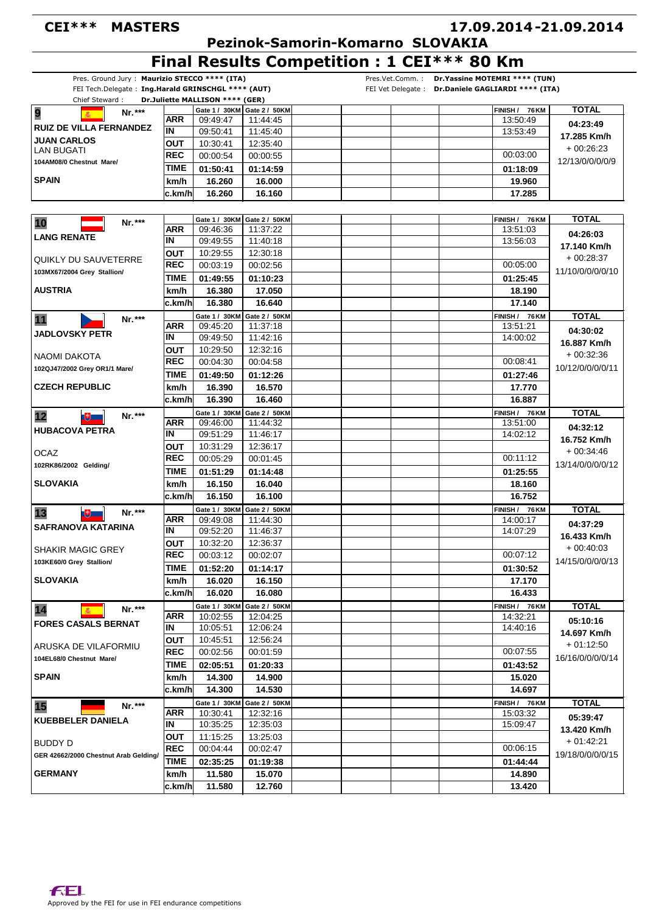#### **CEI\*\*\* MASTERS**

## **17.09.2014 21.09.2014 -**

 **Pezinok-Samorin-Komarno SLOVAKIA**

**Final Results Competition : 1 CEI\*\*\* 80 Km**

| Pres. Ground Jury: Maurizio STECCO **** (ITA)      |                   |                                 |                           | Pres.Vet.Comm.: Dr.Yassine MOTEMRI **** (TUN)      |                  |
|----------------------------------------------------|-------------------|---------------------------------|---------------------------|----------------------------------------------------|------------------|
| FEI Tech.Delegate: Ing.Harald GRINSCHGL **** (AUT) |                   |                                 |                           | FEI Vet Delegate : Dr.Daniele GAGLIARDI **** (ITA) |                  |
| Chief Steward:                                     |                   | Dr.Juliette MALLISON **** (GER) |                           |                                                    |                  |
| 9<br>Nr.***                                        | ARR               | Gate 1 / 30KM Gate 2 / 50KM     |                           | FINISH / 76 KM                                     | <b>TOTAL</b>     |
| <b>RUIZ DE VILLA FERNANDEZ</b>                     | IN                | 09:49:47<br>09:50:41            | 11:44:45<br>11:45:40      | 13:50:49<br>13:53:49                               | 04:23:49         |
| <b>JUAN CARLOS</b>                                 |                   | 10:30:41                        |                           |                                                    | 17.285 Km/h      |
| <b>LAN BUGATI</b>                                  | OUT<br><b>REC</b> | 00:00:54                        | 12:35:40<br>00:00:55      | 00:03:00                                           | $+00.26.23$      |
| 104AM08/0 Chestnut Mare/                           | <b>TIME</b>       |                                 |                           |                                                    | 12/13/0/0/0/0/9  |
|                                                    |                   | 01:50:41                        | 01:14:59                  | 01:18:09                                           |                  |
| <b>SPAIN</b>                                       | km/h              | 16.260                          | 16.000                    | 19.960                                             |                  |
|                                                    | c.km/hl           | 16.260                          | 16.160                    | 17.285                                             |                  |
|                                                    |                   |                                 |                           |                                                    |                  |
| 10<br>Nr.***                                       |                   | Gate 1 / 30KM                   | Gate 2 / 50KM             | FINISH /<br>76 KM                                  | <b>TOTAL</b>     |
| <b>LANG RENATE</b>                                 | <b>ARR</b>        | 09:46:36                        | 11:37:22                  | 13:51:03                                           | 04:26:03         |
|                                                    | IN                | 09:49:55                        | 11:40:18                  | 13:56:03                                           | 17.140 Km/h      |
| QUIKLY DU SAUVETERRE                               | OUT               | 10:29:55                        | 12:30:18                  |                                                    | $+00:28:37$      |
| 103MX67/2004 Grey Stallion/                        | <b>REC</b>        | 00:03:19                        | 00:02:56                  | 00:05:00                                           | 11/10/0/0/0/0/10 |
|                                                    | TIME              | 01:49:55                        | 01:10:23                  | 01:25:45                                           |                  |
| <b>AUSTRIA</b>                                     | km/h              | 16.380                          | 17.050                    | 18.190                                             |                  |
|                                                    | c.km/h            | 16.380                          | 16.640                    | 17.140                                             |                  |
| 11<br>Nr.***                                       |                   | Gate 1 / 30KM                   | Gate 2 / 50KM             | FINISH / 76 KM                                     | <b>TOTAL</b>     |
| <b>JADLOVSKY PETR</b>                              | ARR               | 09:45:20                        | 11:37:18                  | 13:51:21                                           | 04:30:02         |
|                                                    | IN                | 09:49:50                        | 11:42:16                  | 14:00:02                                           | 16.887 Km/h      |
| NAOMI DAKOTA                                       | <b>OUT</b>        | 10:29:50                        | 12:32:16                  |                                                    | + 00:32:36       |
| 102QJ47/2002 Grey OR1/1 Mare/                      | <b>REC</b>        | 00:04:30                        | 00:04:58                  | 00:08:41                                           | 10/12/0/0/0/0/11 |
|                                                    | TIME              | 01:49:50                        | 01:12:26                  | 01:27:46                                           |                  |
| <b>CZECH REPUBLIC</b>                              | km/h              | 16.390                          | 16.570                    | 17.770                                             |                  |
|                                                    | c.km/hl           | 16.390                          | 16.460                    | 16.887                                             |                  |
| 12<br>Nr.***                                       |                   | Gate 1 / 30KM                   | Gate 2 / 50KM             | FINISH / 76 KM                                     | <b>TOTAL</b>     |
| $\mathbb{R}$                                       | ARR               | 09:46:00                        | 11:44:32                  | 13:51:00                                           | 04:32:12         |
| <b>HUBACOVA PETRA</b>                              | ΙN                | 09:51:29                        | 11:46:17                  | 14:02:12                                           |                  |
|                                                    | OUT               | 10:31:29                        | 12:36:17                  |                                                    | 16.752 Km/h      |
| <b>OCAZ</b>                                        | <b>REC</b>        | 00:05:29                        | 00:01:45                  | 00:11:12                                           | $+00:34:46$      |
| 102RK86/2002 Gelding/                              | TIME              | 01:51:29                        | 01:14:48                  | 01:25:55                                           | 13/14/0/0/0/0/12 |
| SLOVAKIA                                           | km/h              | 16.150                          | 16.040                    | 18.160                                             |                  |
|                                                    | c.km/h            | 16.150                          | 16.100                    | 16.752                                             |                  |
|                                                    |                   | Gate 1 / 30KM                   | Gate 2 / 50KM             | FINISH / 76 KM                                     | <b>TOTAL</b>     |
| Nr.***<br>13<br><u>ity – </u>                      | ARR               | 09:49:08                        | 11:44:30                  | 14:00:17                                           |                  |
| <b>SAFRANOVA KATARINA</b>                          | IN                | 09:52:20                        | 11:46:37                  | 14:07:29                                           | 04:37:29         |
|                                                    | OUT               | 10:32:20                        | 12:36:37                  |                                                    | 16.433 Km/h      |
| <b>SHAKIR MAGIC GREY</b>                           | <b>REC</b>        | 00:03:12                        | 00:02:07                  | 00:07:12                                           | $+00.40.03$      |
| 103KE60/0 Grey Stallion/                           | TIME              | 01:52:20                        | 01:14:17                  | 01:30:52                                           | 14/15/0/0/0/0/13 |
| <b>SLOVAKIA</b>                                    | km/h              | 16.020                          | 16.150                    | 17.170                                             |                  |
|                                                    | c.km/h            | 16.020                          | 16.080                    | 16.433                                             |                  |
|                                                    |                   |                                 |                           |                                                    |                  |
| 14<br>Nr.***                                       | ARR               | Gate 1 / 30KM<br>10:02:55       | Gate 2 / 50KM<br>12:04:25 | FINISH / 76 KM<br>14:32:21                         | <b>TOTAL</b>     |
| <b>FORES CASALS BERNAT</b>                         | IN                | 10:05:51                        | 12:06:24                  | 14:40:16                                           | 05:10:16         |
|                                                    | ΟUΤ               | 10:45:51                        | 12:56:24                  |                                                    | 14.697 Km/h      |
| IARUSKA DE VILAFORMIU                              | <b>REC</b>        | 00:02:56                        | 00:01:59                  | 00:07:55                                           | $+01:12:50$      |
| 104EL68/0 Chestnut Mare/                           | <b>TIME</b>       | 02:05:51                        | 01:20:33                  | 01:43:52                                           | 16/16/0/0/0/0/14 |
| <b>SPAIN</b>                                       |                   |                                 |                           |                                                    |                  |
|                                                    | km/h              | 14.300<br>14.300                | 14.900<br>14.530          | 15.020                                             |                  |
|                                                    | c.km/h            |                                 |                           | 14.697                                             |                  |
| 15<br>Nr.***                                       |                   | Gate 1 / 30KM                   | Gate 2 / 50KM             | FINISH / 76 KM                                     | <b>TOTAL</b>     |
| <b>KUEBBELER DANIELA</b>                           | <b>ARR</b><br>IN  | 10:30:41                        | 12:32:16                  | 15:03:32                                           | 05:39:47         |
|                                                    |                   | 10:35:25                        | 12:35:03                  | 15:09:47                                           | 13.420 Km/h      |
| <b>BUDDY D</b>                                     | OUT               | 11:15:25                        | 13:25:03                  |                                                    | + 01:42:21       |
| GER 42662/2000 Chestnut Arab Gelding/              | <b>REC</b>        | 00:04:44                        | 00:02:47                  | 00:06:15                                           | 19/18/0/0/0/0/15 |
|                                                    | <b>TIME</b>       | 02:35:25                        | 01:19:38                  | 01:44:44                                           |                  |
| <b>GERMANY</b>                                     | km/h              | 11.580                          | 15.070                    | 14.890                                             |                  |
|                                                    | c.km/h            | 11.580                          | 12.760                    | 13.420                                             |                  |